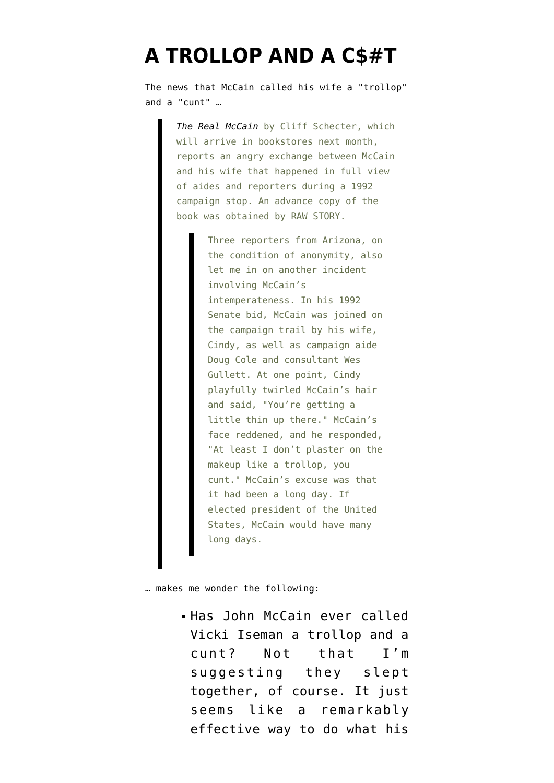## **[A TROLLOP AND A C\\$#T](https://www.emptywheel.net/2008/04/07/a-trollop-and-a-ct/)**

The [news](http://rawstory.com/news/2008/McCain_temper_boiled_over_in_92_0407.html) that McCain called his wife a "trollop" and a "cunt" …

> *[The Real McCain](http://www.amazon.com/Real-McCain-Conservatives-Independents-Shouldnt/dp/0979482291/ref=pd_bbs_sr_1?ie=UTF8&s=books&qid=1207540954&sr=8-1)* by Cliff Schecter, which will arrive in bookstores next month, reports an angry exchange between McCain and his wife that happened in full view of aides and reporters during a 1992 campaign stop. An advance copy of the book was obtained by RAW STORY.

> > Three reporters from Arizona, on the condition of anonymity, also let me in on another incident involving McCain's intemperateness. In his 1992 Senate bid, McCain was joined on the campaign trail by his wife, Cindy, as well as campaign aide Doug Cole and consultant Wes Gullett. At one point, Cindy playfully twirled McCain's hair and said, "You're getting a little thin up there." McCain's face reddened, and he responded, "At least I don't plaster on the makeup like a trollop, you cunt." McCain's excuse was that it had been a long day. If elected president of the United States, McCain would have many long days.

… makes me wonder the following:

Has John McCain ever called Vicki Iseman a trollop and a cunt? Not that I'm suggesting they slept together, of course. It just seems like a remarkably effective way to do what his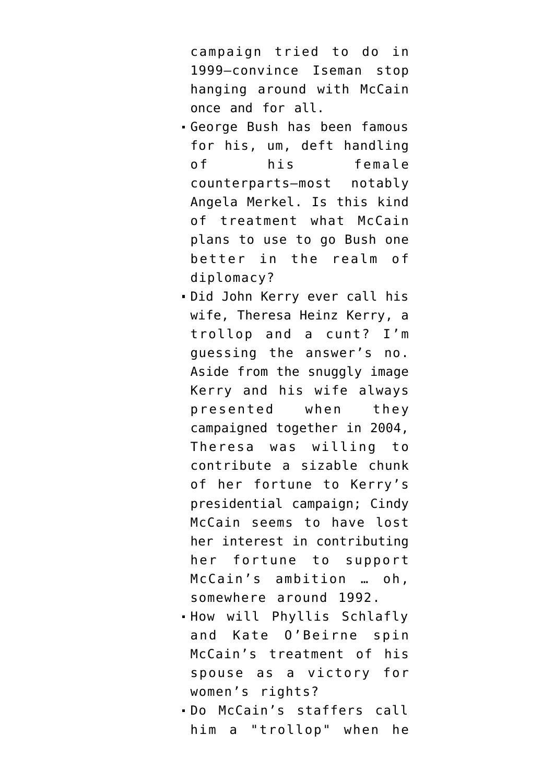campaign tried to do in 1999–convince Iseman stop hanging around with McCain once and for all.

- George Bush has been famous for his, um, deft [handling](http://www.youtube.com/watch?v=5dfrHT8o-0A) of his female counterparts–most notably Angela Merkel. Is this kind of treatment what McCain plans to use to go Bush one better in the realm of diplomacy?
- Did John Kerry ever call his wife, Theresa Heinz Kerry, a trollop and a cunt? I'm guessing the answer's no. Aside from the snuggly image Kerry and his wife always presented when they campaigned together in 2004, Theresa was willing to contribute a sizable chunk of her fortune to Kerry's presidential campaign; Cindy McCain seems to have lost her interest in contributing her fortune to support McCain's ambition … oh, somewhere around 1992.
- . How will Phyllis Schlafly and Kate O'Beirne spin McCain's treatment of his spouse as a victory for women's rights?
- Do McCain's staffers call him a "trollop" when he